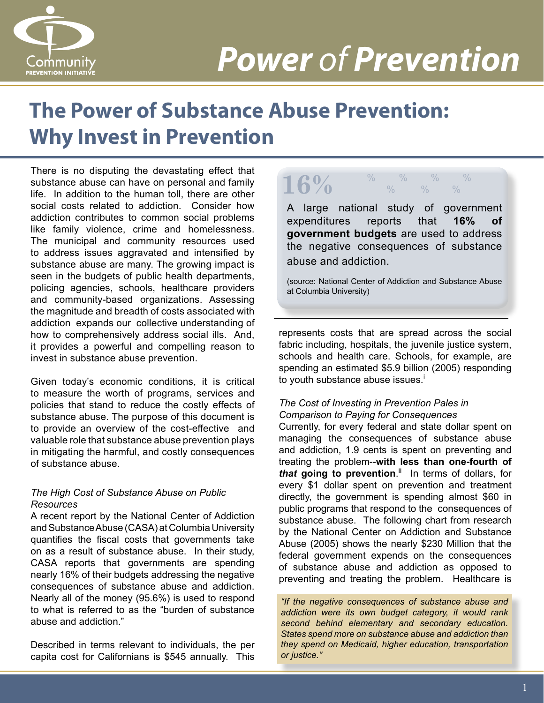

# *Power of Prevention*

# **The Power of Substance Abuse Prevention: Why Invest in Prevention**

There is no disputing the devastating effect that substance abuse can have on personal and family life. In addition to the human toll, there are other social costs related to addiction. Consider how addiction contributes to common social problems like family violence, crime and homelessness. The municipal and community resources used to address issues aggravated and intensified by substance abuse are many. The growing impact is seen in the budgets of public health departments, policing agencies, schools, healthcare providers and community-based organizations. Assessing the magnitude and breadth of costs associated with addiction expands our collective understanding of how to comprehensively address social ills. And, it provides a powerful and compelling reason to invest in substance abuse prevention.

Given today's economic conditions, it is critical to measure the worth of programs, services and policies that stand to reduce the costly effects of substance abuse. The purpose of this document is to provide an overview of the cost-effective and valuable role that substance abuse prevention plays in mitigating the harmful, and costly consequences of substance abuse.

#### *The High Cost of Substance Abuse on Public Resources*

A recent report by the National Center of Addiction and Substance Abuse (CASA) at Columbia University quantifies the fiscal costs that governments take on as a result of substance abuse. In their study, CASA reports that governments are spending nearly 16% of their budgets addressing the negative consequences of substance abuse and addiction. Nearly all of the money (95.6%) is used to respond to what is referred to as the "burden of substance abuse and addiction."

Described in terms relevant to individuals, the per capita cost for Californians is \$545 annually. This

### **16%** % % % %  $\frac{0}{0}$   $\frac{0}{0}$   $\frac{0}{0}$

A large national study of government expenditures reports that **16% of government budgets** are used to address the negative consequences of substance abuse and addiction.

(source: National Center of Addiction and Substance Abuse at Columbia University)

represents costs that are spread across the social fabric including, hospitals, the juvenile justice system, schools and health care. Schools, for example, are spending an estimated \$5.9 billion (2005) responding to youth substance abuse issues.<sup>i</sup>

#### *The Cost of Investing in Prevention Pales in Comparison to Paying for Consequences*

Currently, for every federal and state dollar spent on managing the consequences of substance abuse and addiction, 1.9 cents is spent on preventing and treating the problem--**with less than one-fourth of**  *that* **going to prevention**. ii In terms of dollars, for every \$1 dollar spent on prevention and treatment directly, the government is spending almost \$60 in public programs that respond to the consequences of substance abuse. The following chart from research by the National Center on Addiction and Substance Abuse (2005) shows the nearly \$230 Million that the federal government expends on the consequences of substance abuse and addiction as opposed to preventing and treating the problem. Healthcare is

*"If the negative consequences of substance abuse and addiction were its own budget category, it would rank second behind elementary and secondary education. States spend more on substance abuse and addiction than they spend on Medicaid, higher education, transportation or justice."*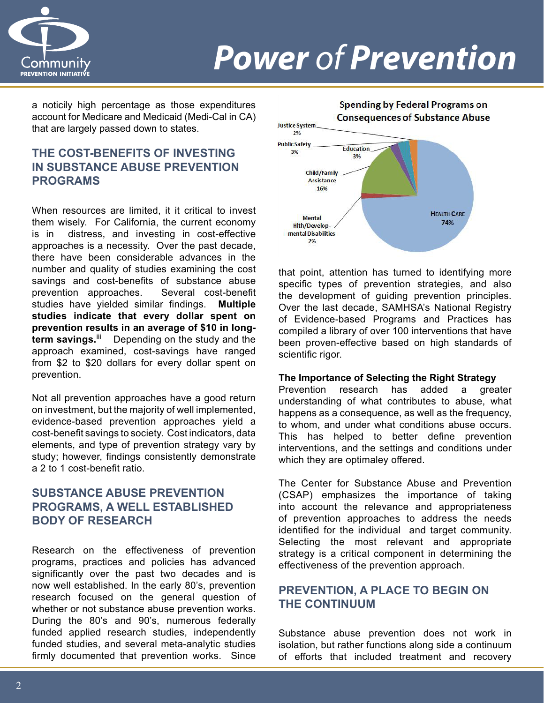

# *Power of Prevention*

a noticily high percentage as those expenditures account for Medicare and Medicaid (Medi-Cal in CA) that are largely passed down to states.

### **THE COST-BENEFITS OF INVESTING IN SUBSTANCE ABUSE PREVENTION PROGRAMS**

When resources are limited, it it critical to invest them wisely. For California, the current economy is in distress, and investing in cost-effective approaches is a necessity. Over the past decade, there have been considerable advances in the number and quality of studies examining the cost savings and cost-benefits of substance abuse prevention approaches. Several cost-benefit studies have yielded similar findings. **Multiple studies indicate that every dollar spent on prevention results in an average of \$10 in longterm savings.**ii Depending on the study and the approach examined, cost-savings have ranged from \$2 to \$20 dollars for every dollar spent on prevention.

Not all prevention approaches have a good return on investment, but the majority of well implemented, evidence-based prevention approaches yield a cost-benefit savings to society. Cost indicators, data elements, and type of prevention strategy vary by study; however, findings consistently demonstrate a 2 to 1 cost-benefit ratio.

#### **SUBSTANCE ABUSE PREVENTION PROGRAMS, A WELL ESTABLISHED BODY OF RESEARCH**

Research on the effectiveness of prevention programs, practices and policies has advanced significantly over the past two decades and is now well established. In the early 80's, prevention research focused on the general question of whether or not substance abuse prevention works. During the 80's and 90's, numerous federally funded applied research studies, independently funded studies, and several meta-analytic studies firmly documented that prevention works. Since



that point, attention has turned to identifying more specific types of prevention strategies, and also the development of guiding prevention principles. Over the last decade, SAMHSA's National Registry of Evidence-based Programs and Practices has compiled a library of over 100 interventions that have been proven-effective based on high standards of scientific rigor.

#### **The Importance of Selecting the Right Strategy**

Prevention research has added a greater understanding of what contributes to abuse, what happens as a consequence, as well as the frequency, to whom, and under what conditions abuse occurs. This has helped to better define prevention interventions, and the settings and conditions under which they are optimaley offered.

The Center for Substance Abuse and Prevention (CSAP) emphasizes the importance of taking into account the relevance and appropriateness of prevention approaches to address the needs identified for the individual and target community. Selecting the most relevant and appropriate strategy is a critical component in determining the effectiveness of the prevention approach.

### **PREVENTION, A PLACE TO BEGIN ON THE CONTINUUM**

Substance abuse prevention does not work in isolation, but rather functions along side a continuum of efforts that included treatment and recovery